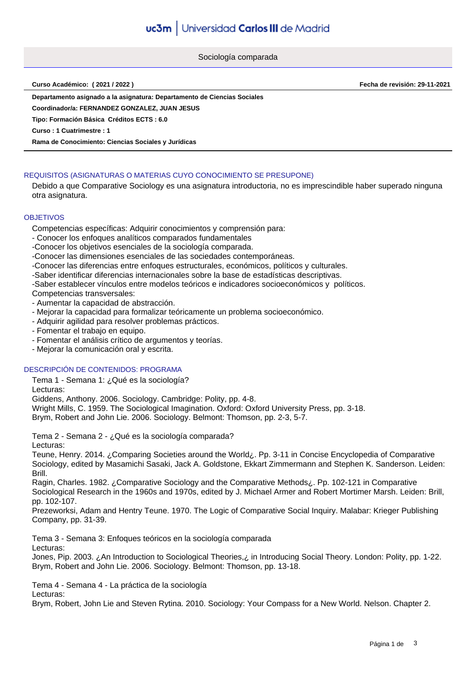Sociología comparada

**Curso Académico: ( 2021 / 2022 ) Fecha de revisión: 29-11-2021**

**Departamento asignado a la asignatura: Departamento de Ciencias Sociales**

**Coordinador/a: FERNANDEZ GONZALEZ, JUAN JESUS**

**Tipo: Formación Básica Créditos ECTS : 6.0**

**Curso : 1 Cuatrimestre : 1**

**Rama de Conocimiento: Ciencias Sociales y Jurídicas**

## REQUISITOS (ASIGNATURAS O MATERIAS CUYO CONOCIMIENTO SE PRESUPONE)

Debido a que Comparative Sociology es una asignatura introductoria, no es imprescindible haber superado ninguna otra asignatura.

#### **OBJETIVOS**

Competencias específicas: Adquirir conocimientos y comprensión para:

- Conocer los enfoques analíticos comparados fundamentales
- -Conocer los objetivos esenciales de la sociología comparada.

-Conocer las dimensiones esenciales de las sociedades contemporáneas.

-Conocer las diferencias entre enfoques estructurales, económicos, políticos y culturales.

-Saber identificar diferencias internacionales sobre la base de estadísticas descriptivas.

-Saber establecer vínculos entre modelos teóricos e indicadores socioeconómicos y políticos.

Competencias transversales:

- Aumentar la capacidad de abstracción.
- Mejorar la capacidad para formalizar teóricamente un problema socioeconómico.
- Adquirir agilidad para resolver problemas prácticos.
- Fomentar el trabajo en equipo.
- Fomentar el análisis crítico de argumentos y teorías.
- Mejorar la comunicación oral y escrita.

## DESCRIPCIÓN DE CONTENIDOS: PROGRAMA

Tema 1 - Semana 1: ¿Qué es la sociología?

Lecturas:

Giddens, Anthony. 2006. Sociology. Cambridge: Polity, pp. 4-8.

Wright Mills, C. 1959. The Sociological Imagination. Oxford: Oxford University Press, pp. 3-18.

Brym, Robert and John Lie. 2006. Sociology. Belmont: Thomson, pp. 2-3, 5-7.

Tema 2 - Semana 2 - ¿Qué es la sociología comparada?

Lecturas:

Teune, Henry. 2014. ¿Comparing Societies around the World¿. Pp. 3-11 in Concise Encyclopedia of Comparative Sociology, edited by Masamichi Sasaki, Jack A. Goldstone, Ekkart Zimmermann and Stephen K. Sanderson. Leiden: Brill.

Ragin, Charles. 1982. ¿Comparative Sociology and the Comparative Methods¿. Pp. 102-121 in Comparative Sociological Research in the 1960s and 1970s, edited by J. Michael Armer and Robert Mortimer Marsh. Leiden: Brill, pp. 102-107.

Prezeworksi, Adam and Hentry Teune. 1970. The Logic of Comparative Social Inquiry. Malabar: Krieger Publishing Company, pp. 31-39.

Tema 3 - Semana 3: Enfoques teóricos en la sociología comparada Lecturas:

Jones, Pip. 2003. ¿An Introduction to Sociological Theories,¿ in Introducing Social Theory. London: Polity, pp. 1-22. Brym, Robert and John Lie. 2006. Sociology. Belmont: Thomson, pp. 13-18.

Tema 4 - Semana 4 - La práctica de la sociología Lecturas:

Brym, Robert, John Lie and Steven Rytina. 2010. Sociology: Your Compass for a New World. Nelson. Chapter 2.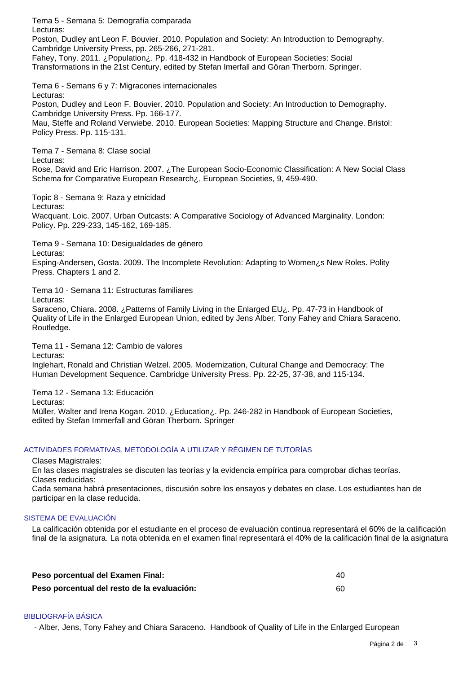Tema 5 - Semana 5: Demografía comparada Lecturas: Poston, Dudley ant Leon F. Bouvier. 2010. Population and Society: An Introduction to Demography. Cambridge University Press, pp. 265-266, 271-281. Fahey, Tony. 2011. ¿Population¿. Pp. 418-432 in Handbook of European Societies: Social Transformations in the 21st Century, edited by Stefan Imerfall and Göran Therborn. Springer. Tema 6 - Semans 6 y 7: Migracones internacionales Lecturas: Poston, Dudley and Leon F. Bouvier. 2010. Population and Society: An Introduction to Demography. Cambridge University Press. Pp. 166-177. Mau, Steffe and Roland Verwiebe. 2010. European Societies: Mapping Structure and Change. Bristol: Policy Press. Pp. 115-131. Tema 7 - Semana 8: Clase social Lecturas: Rose, David and Eric Harrison. 2007. ¿The European Socio-Economic Classification: A New Social Class Schema for Comparative European Research¿, European Societies, 9, 459-490. Topic 8 - Semana 9: Raza y etnicidad Lecturas: Wacquant, Loic. 2007. Urban Outcasts: A Comparative Sociology of Advanced Marginality. London: Policy. Pp. 229-233, 145-162, 169-185. Tema 9 - Semana 10: Desigualdades de género Lecturas: Esping-Andersen, Gosta. 2009. The Incomplete Revolution: Adapting to Women¿s New Roles. Polity Press. Chapters 1 and 2. Tema 10 - Semana 11: Estructuras familiares Lecturas: Saraceno, Chiara. 2008. ¿Patterns of Family Living in the Enlarged EU¿. Pp. 47-73 in Handbook of Quality of Life in the Enlarged European Union, edited by Jens Alber, Tony Fahey and Chiara Saraceno. Routledge. Tema 11 - Semana 12: Cambio de valores Lecturas: Inglehart, Ronald and Christian Welzel. 2005. Modernization, Cultural Change and Democracy: The Human Development Sequence. Cambridge University Press. Pp. 22-25, 37-38, and 115-134. Tema 12 - Semana 13: Educación Lecturas: Müller, Walter and Irena Kogan. 2010. ¿Education¿. Pp. 246-282 in Handbook of European Societies, edited by Stefan Immerfall and Göran Therborn. Springer ACTIVIDADES FORMATIVAS, METODOLOGÍA A UTILIZAR Y RÉGIMEN DE TUTORÍAS Clases Magistrales: En las clases magistrales se discuten las teorías y la evidencia empírica para comprobar dichas teorías. Clases reducidas: Cada semana habrá presentaciones, discusión sobre los ensayos y debates en clase. Los estudiantes han de participar en la clase reducida.

#### SISTEMA DE EVALUACIÓN

La calificación obtenida por el estudiante en el proceso de evaluación continua representará el 60% de la calificación final de la asignatura. La nota obtenida en el examen final representará el 40% de la calificación final de la asignatura

| Peso porcentual del Examen Final:           |  |
|---------------------------------------------|--|
| Peso porcentual del resto de la evaluación: |  |

# BIBLIOGRAFÍA BÁSICA

- Alber, Jens, Tony Fahey and Chiara Saraceno. Handbook of Quality of Life in the Enlarged European